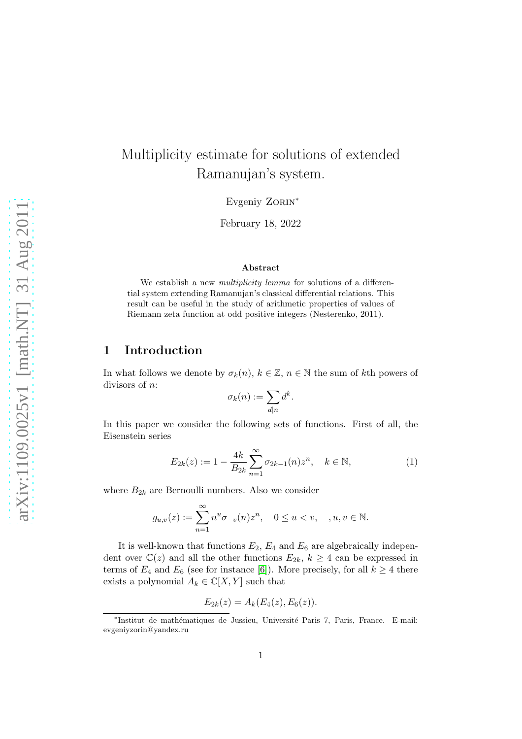# Multiplicity estimate for solutions of extended Ramanujan's system.

Evgeniy ZORIN<sup>\*</sup>

February 18, 2022

#### Abstract

We establish a new *multiplicity lemma* for solutions of a differential system extending Ramanujan's classical differential relations. This result can be useful in the study of arithmetic properties of values of Riemann zeta function at odd positive integers (Nesterenko, 2011).

# 1 Introduction

In what follows we denote by  $\sigma_k(n)$ ,  $k \in \mathbb{Z}$ ,  $n \in \mathbb{N}$  the sum of kth powers of divisors of n:

$$
\sigma_k(n) := \sum_{d|n} d^k
$$

In this paper we consider the following sets of functions. First of all, the Eisenstein series

<span id="page-0-0"></span>
$$
E_{2k}(z) := 1 - \frac{4k}{B_{2k}} \sum_{n=1}^{\infty} \sigma_{2k-1}(n) z^n, \quad k \in \mathbb{N},
$$
 (1)

.

where  $B_{2k}$  are Bernoulli numbers. Also we consider

$$
g_{u,v}(z) := \sum_{n=1}^{\infty} n^u \sigma_{-v}(n) z^n, \quad 0 \le u < v, \quad , u, v \in \mathbb{N}.
$$

It is well-known that functions  $E_2, E_4$  and  $E_6$  are algebraically independent over  $\mathbb{C}(z)$  and all the other functions  $E_{2k}$ ,  $k \geq 4$  can be expressed in terms of  $E_4$  and  $E_6$  (see for instance [\[6\]](#page-6-0)). More precisely, for all  $k \geq 4$  there exists a polynomial  $A_k \in \mathbb{C}[X, Y]$  such that

$$
E_{2k}(z) = A_k(E_4(z), E_6(z)).
$$

<sup>\*</sup>Institut de mathématiques de Jussieu, Université Paris 7, Paris, France. E-mail: evgeniyzorin@yandex.ru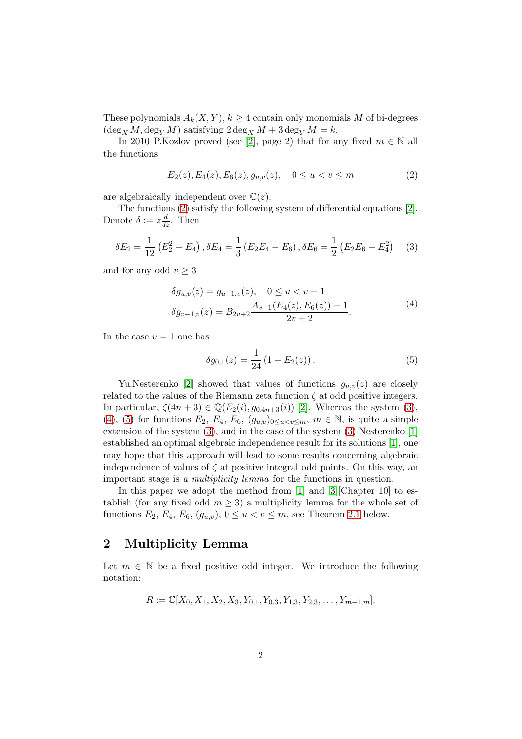These polynomials  $A_k(X, Y)$ ,  $k \geq 4$  contain only monomials M of bi-degrees  $(\deg_X M, \deg_Y M)$  satisfying  $2 \deg_X M + 3 \deg_Y M = k$ .

In 2010 P.Kozlov proved (see [\[2\]](#page-6-1), page 2) that for any fixed  $m \in \mathbb{N}$  all the functions

<span id="page-1-0"></span>
$$
E_2(z), E_4(z), E_6(z), g_{u,v}(z), \quad 0 \le u < v \le m \tag{2}
$$

are algebraically independent over  $\mathbb{C}(z)$ .

The functions [\(2\)](#page-1-0) satisfy the following system of differential equations [\[2\]](#page-6-1). Denote  $\delta := z \frac{d}{dz}$ . Then

<span id="page-1-1"></span>
$$
\delta E_2 = \frac{1}{12} \left( E_2^2 - E_4 \right), \delta E_4 = \frac{1}{3} \left( E_2 E_4 - E_6 \right), \delta E_6 = \frac{1}{2} \left( E_2 E_6 - E_4^2 \right) \tag{3}
$$

and for any odd  $v \geq 3$ 

<span id="page-1-2"></span>
$$
\delta g_{u,v}(z) = g_{u+1,v}(z), \quad 0 \le u < v-1,
$$
  

$$
\delta g_{v-1,v}(z) = B_{2v+2} \frac{A_{v+1}(E_4(z), E_6(z)) - 1}{2v + 2}.
$$
 (4)

In the case  $v = 1$  one has

<span id="page-1-3"></span>
$$
\delta g_{0,1}(z) = \frac{1}{24} (1 - E_2(z)). \tag{5}
$$

Yu.Nesterenko [\[2\]](#page-6-1) showed that values of functions  $g_{u,v}(z)$  are closely related to the values of the Riemann zeta function  $\zeta$  at odd positive integers. In particular,  $\zeta(4n+3) \in \mathbb{Q}(E_2(i), g_{0,4n+3}(i))$  [\[2\]](#page-6-1). Whereas the system [\(3\)](#page-1-1), [\(4\)](#page-1-2), [\(5\)](#page-1-3) for functions  $E_2$ ,  $E_4$ ,  $E_6$ ,  $(g_{u,v})_{0 \le u \le v \le m}$ ,  $m \in \mathbb{N}$ , is quite a simple extension of the system [\(3\)](#page-1-1), and in the case of the system [\(3\)](#page-1-1) Nesterenko [\[1\]](#page-6-2) established an optimal algebraic independence result for its solutions [\[1\]](#page-6-2), one may hope that this approach will lead to some results concerning algebraic independence of values of  $\zeta$  at positive integral odd points. On this way, an important stage is a multiplicity lemma for the functions in question.

In this paper we adopt the method from [\[1\]](#page-6-2) and [\[3\]](#page-6-3) [Chapter 10] to establish (for any fixed odd  $m \geq 3$ ) a multiplicity lemma for the whole set of functions  $E_2, E_4, E_6, (g_{u,v}), 0 \le u < v \le m$ , see Theorem [2.1](#page-1-4) below.

## 2 Multiplicity Lemma

<span id="page-1-4"></span>Let  $m \in \mathbb{N}$  be a fixed positive odd integer. We introduce the following notation:

$$
R := \mathbb{C}[X_0, X_1, X_2, X_3, Y_{0,1}, Y_{0,3}, Y_{1,3}, Y_{2,3}, \ldots, Y_{m-1,m}].
$$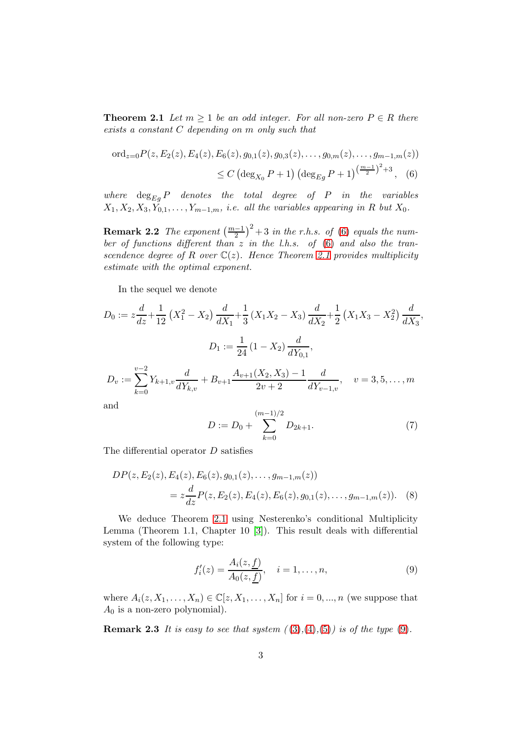**Theorem 2.1** Let  $m \geq 1$  be an odd integer. For all non-zero  $P \in R$  there exists a constant C depending on m only such that

<span id="page-2-0"></span>
$$
\begin{aligned} \n\text{ord}_{z=0}P(z, E_2(z), E_4(z), E_6(z), g_{0,1}(z), g_{0,3}(z), \dots, g_{0,m}(z), \dots, g_{m-1,m}(z)) \\
&\leq C \left( \deg_{X_0} P + 1 \right) \left( \deg_{E_g} P + 1 \right)^{\left( \frac{m-1}{2} \right)^2 + 3}, \quad (6)\n\end{aligned}
$$

where  $\deg_{E_g} P$  denotes the total degree of P in the variables  $X_1, X_2, X_3, Y_{0,1}, \ldots, Y_{m-1,m}$ , i.e. all the variables appearing in R but  $X_0$ .

**Remark 2.2** The exponent  $\left(\frac{m-1}{2}\right)^2 + 3$  in the r.h.s. of [\(6\)](#page-2-0) equals the number of functions different than  $z$  in the l.h.s. of [\(6\)](#page-2-0) and also the transcendence degree of R over  $\mathbb{C}(z)$ . Hence Theorem [2.1](#page-1-4) provides multiplicity estimate with the optimal exponent.

In the sequel we denote

$$
D_0 := z \frac{d}{dz} + \frac{1}{12} \left( X_1^2 - X_2 \right) \frac{d}{dX_1} + \frac{1}{3} \left( X_1 X_2 - X_3 \right) \frac{d}{dX_2} + \frac{1}{2} \left( X_1 X_3 - X_2^2 \right) \frac{d}{dX_3},
$$
  
\n
$$
D_1 := \frac{1}{24} \left( 1 - X_2 \right) \frac{d}{dY_{0,1}},
$$
  
\n
$$
D_v := \sum_{k=0}^{v-2} Y_{k+1,v} \frac{d}{dY_{k,v}} + B_{v+1} \frac{A_{v+1}(X_2, X_3) - 1}{2v + 2} \frac{d}{dY_{v-1,v}}, \quad v = 3, 5, \dots, m
$$

and

<span id="page-2-3"></span><span id="page-2-2"></span>
$$
D := D_0 + \sum_{k=0}^{(m-1)/2} D_{2k+1}.
$$
 (7)

The differential operator D satisfies

$$
DP(z, E_2(z), E_4(z), E_6(z), g_{0,1}(z), \dots, g_{m-1,m}(z))
$$
  
=  $z \frac{d}{dz} P(z, E_2(z), E_4(z), E_6(z), g_{0,1}(z), \dots, g_{m-1,m}(z)).$  (8)

We deduce Theorem [2.1](#page-1-4) using Nesterenko's conditional Multiplicity Lemma (Theorem 1.1, Chapter 10 [\[3\]](#page-6-3)). This result deals with differential system of the following type:

<span id="page-2-1"></span>
$$
f'_i(z) = \frac{A_i(z, \underline{f})}{A_0(z, \underline{f})}, \quad i = 1, \dots, n,
$$
\n(9)

where  $A_i(z, X_1, ..., X_n) \in \mathbb{C}[z, X_1, ..., X_n]$  for  $i = 0, ..., n$  (we suppose that  $A_0$  is a non-zero polynomial).

**Remark 2.3** It is easy to see that system  $((3),(4),(5))$  $((3),(4),(5))$  $((3),(4),(5))$  $((3),(4),(5))$  $((3),(4),(5))$  $((3),(4),(5))$  $((3),(4),(5))$  is of the type  $(9)$ .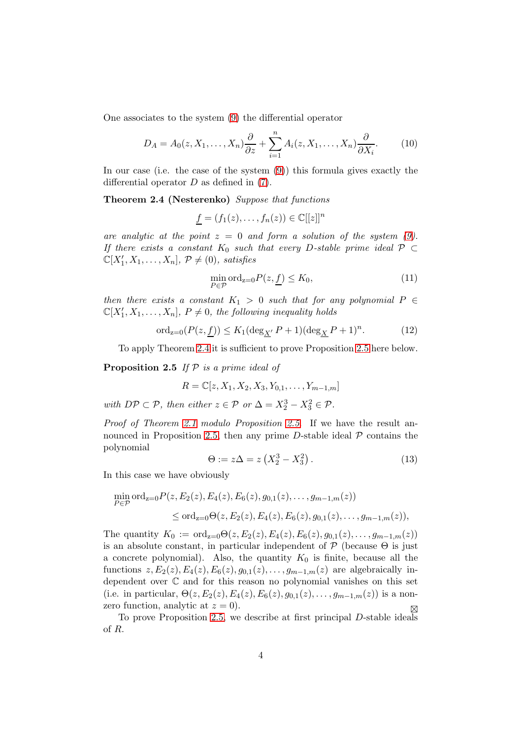One associates to the system [\(9\)](#page-2-1) the differential operator

$$
D_A = A_0(z, X_1, \dots, X_n) \frac{\partial}{\partial z} + \sum_{i=1}^n A_i(z, X_1, \dots, X_n) \frac{\partial}{\partial X_i}.
$$
 (10)

In our case (i.e. the case of the system  $(9)$ ) this formula gives exactly the differential operator  $D$  as defined in  $(7)$ .

Theorem 2.4 (Nesterenko) Suppose that functions

<span id="page-3-0"></span>
$$
\underline{f} = (f_1(z), \ldots, f_n(z)) \in \mathbb{C}[[z]]^n
$$

are analytic at the point  $z = 0$  and form a solution of the system [\(9\)](#page-2-1). If there exists a constant  $K_0$  such that every D-stable prime ideal  $\mathcal{P} \subset$  $\mathbb{C}[X'_1, X_1, \ldots, X_n], \, \mathcal{P} \neq (0), \, \textit{satisfies}$ 

$$
\min_{P \in \mathcal{P}} \text{ord}_{z=0} P(z, \underline{f}) \le K_0,\tag{11}
$$

then there exists a constant  $K_1 > 0$  such that for any polynomial  $P \in$  $\mathbb{C}[X'_1, X_1, \ldots, X_n], P \neq 0$ , the following inequality holds

$$
\operatorname{ord}_{z=0}(P(z,\underline{f})) \le K_1(\operatorname{deg}_{\underline{X}'} P + 1)(\operatorname{deg}_{\underline{X}} P + 1)^n. \tag{12}
$$

<span id="page-3-1"></span>To apply Theorem [2.4](#page-3-0) it is sufficient to prove Proposition [2.5](#page-3-1) here below.

**Proposition 2.5** If  $P$  is a prime ideal of

$$
R = \mathbb{C}[z, X_1, X_2, X_3, Y_{0,1}, \dots, Y_{m-1,m}]
$$

with  $DP \subset P$ , then either  $z \in P$  or  $\Delta = X_2^3 - X_3^2 \in P$ .

Proof of Theorem [2.1](#page-1-4) modulo Proposition [2.5](#page-3-1). If we have the result an-nounced in Proposition [2.5,](#page-3-1) then any prime D-stable ideal  $P$  contains the polynomial

$$
\Theta := z\Delta = z\left(X_2^3 - X_3^2\right). \tag{13}
$$

In this case we have obviously

$$
\min_{P \in \mathcal{P}} \text{ord}_{z=0} P(z, E_2(z), E_4(z), E_6(z), g_{0,1}(z), \dots, g_{m-1,m}(z))
$$
\n
$$
\leq \text{ord}_{z=0} \Theta(z, E_2(z), E_4(z), E_6(z), g_{0,1}(z), \dots, g_{m-1,m}(z)),
$$

The quantity  $K_0 := \text{ord}_{z=0} \Theta(z, E_2(z), E_4(z), E_6(z), g_{0,1}(z), \ldots, g_{m-1,m}(z))$ is an absolute constant, in particular independent of  $P$  (because  $\Theta$  is just a concrete polynomial). Also, the quantity  $K_0$  is finite, because all the functions  $z, E_2(z), E_4(z), E_6(z), g_{0,1}(z), \ldots, g_{m-1,m}(z)$  are algebraically independent over C and for this reason no polynomial vanishes on this set (i.e. in particular,  $\Theta(z, E_2(z), E_4(z), E_6(z), g_{0,1}(z), \ldots, g_{m-1,m}(z))$  is a nonzero function, analytic at  $z = 0$ .

<span id="page-3-2"></span>To prove Proposition [2.5,](#page-3-1) we describe at first principal  $D$ -stable ideals of R.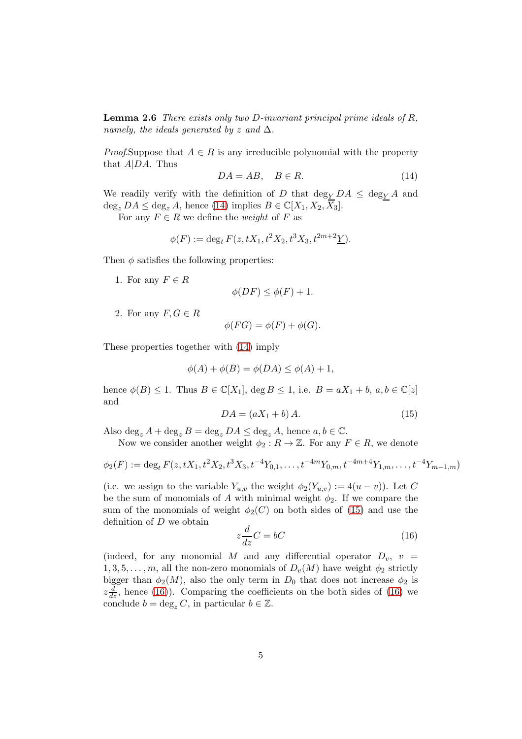**Lemma 2.6** There exists only two D-invariant principal prime ideals of  $R$ , namely, the ideals generated by z and  $\Delta$ .

*Proof.*Suppose that  $A \in R$  is any irreducible polynomial with the property that  $A|DA$ . Thus

<span id="page-4-0"></span>
$$
DA = AB, \quad B \in R. \tag{14}
$$

We readily verify with the definition of D that  $\deg_Y DA \leq \deg_Y A$  and  $\deg_z DA \leq \deg_z A$ , hence [\(14\)](#page-4-0) implies  $B \in \mathbb{C}[X_1, X_2, X_3]$ .

For any  $F \in R$  we define the *weight* of F as

$$
\phi(F) := \deg_t F(z, tX_1, t^2X_2, t^3X_3, t^{2m+2}\underline{Y}).
$$

Then  $\phi$  satisfies the following properties:

1. For any  $F \in R$ 

$$
\phi(DF) \le \phi(F) + 1.
$$

2. For any  $F, G \in R$ 

$$
\phi(FG) = \phi(F) + \phi(G).
$$

These properties together with [\(14\)](#page-4-0) imply

$$
\phi(A) + \phi(B) = \phi(DA) \le \phi(A) + 1,
$$

hence  $\phi(B) \leq 1$ . Thus  $B \in \mathbb{C}[X_1]$ , deg  $B \leq 1$ , i.e.  $B = aX_1 + b$ ,  $a, b \in \mathbb{C}[z]$ and

<span id="page-4-1"></span>
$$
DA = (aX_1 + b)A.
$$
\n<sup>(15)</sup>

Also  $\deg_z A + \deg_z B = \deg_z DA \leq \deg_z A$ , hence  $a, b \in \mathbb{C}$ .

Now we consider another weight  $\phi_2 : R \to \mathbb{Z}$ . For any  $F \in R$ , we denote

$$
\phi_2(F) := \deg_t F(z, tX_1, t^2X_2, t^3X_3, t^{-4}Y_{0,1}, \dots, t^{-4m}Y_{0,m}, t^{-4m+4}Y_{1,m}, \dots, t^{-4}Y_{m-1,m})
$$

(i.e. we assign to the variable  $Y_{u,v}$  the weight  $\phi_2(Y_{u,v}) := 4(u-v)$ ). Let C be the sum of monomials of A with minimal weight  $\phi_2$ . If we compare the sum of the monomials of weight  $\phi_2(C)$  on both sides of [\(15\)](#page-4-1) and use the definition of  $D$  we obtain

<span id="page-4-2"></span>
$$
z\frac{d}{dz}C = bC\tag{16}
$$

(indeed, for any monomial M and any differential operator  $D_v$ ,  $v =$  $1, 3, 5, \ldots, m$ , all the non-zero monomials of  $D_v(M)$  have weight  $\phi_2$  strictly bigger than  $\phi_2(M)$ , also the only term in  $D_0$  that does not increase  $\phi_2$  is  $z\frac{d}{dz}$ , hence [\(16\)](#page-4-2)). Comparing the coefficients on the both sides of (16) we conclude  $b = \deg_z C$ , in particular  $b \in \mathbb{Z}$ .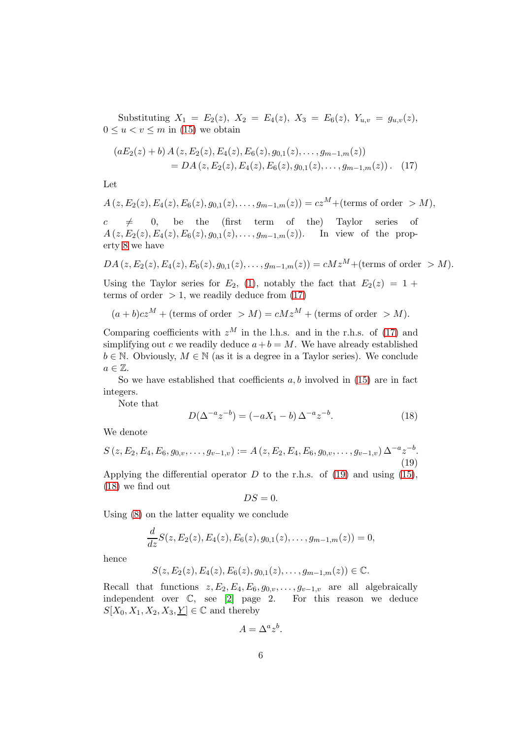Substituting  $X_1 = E_2(z)$ ,  $X_2 = E_4(z)$ ,  $X_3 = E_6(z)$ ,  $Y_{u,v} = g_{u,v}(z)$ ,  $0 \le u \le v \le m$  in [\(15\)](#page-4-1) we obtain

<span id="page-5-0"></span>
$$
(aE_2(z) + b) A(z, E_2(z), E_4(z), E_6(z), g_{0,1}(z), \dots, g_{m-1,m}(z))
$$
  
= DA(z, E\_2(z), E\_4(z), E\_6(z), g\_{0,1}(z), \dots, g\_{m-1,m}(z)). (17)

Let

$$
A(z, E_2(z), E_4(z), E_6(z), g_{0,1}(z), \ldots, g_{m-1,m}(z)) = cz^M + (\text{terms of order } > M),
$$

 $c \neq 0$ , be the (first term of the) Taylor series of  $A(z, E_2(z), E_4(z), E_6(z), g_{0,1}(z), \ldots, g_{m-1,m}(z)).$  In view of the property [8](#page-2-3) we have

$$
DA(z, E_2(z), E_4(z), E_6(z), g_{0,1}(z), \ldots, g_{m-1,m}(z)) = cMz^M + (\text{terms of order } > M).
$$

Using the Taylor series for  $E_2$ , [\(1\)](#page-0-0), notably the fact that  $E_2(z) = 1 +$ terms of order  $> 1$ , we readily deduce from [\(17\)](#page-5-0)

$$
(a+b)cz^M + \text{(terms of order } > M) = cMz^M + \text{(terms of order } > M).
$$

Comparing coefficients with  $z^M$  in the l.h.s. and in the r.h.s. of [\(17\)](#page-5-0) and simplifying out c we readily deduce  $a+b = M$ . We have already established  $b \in \mathbb{N}$ . Obviously,  $M \in \mathbb{N}$  (as it is a degree in a Taylor series). We conclude  $a \in \mathbb{Z}$ .

So we have established that coefficients  $a, b$  involved in [\(15\)](#page-4-1) are in fact integers.

Note that

<span id="page-5-2"></span>
$$
D(\Delta^{-a}z^{-b}) = (-aX_1 - b)\Delta^{-a}z^{-b}.
$$
 (18)

We denote

<span id="page-5-1"></span>
$$
S(z, E_2, E_4, E_6, g_{0,v}, \dots, g_{v-1,v}) := A(z, E_2, E_4, E_6, g_{0,v}, \dots, g_{v-1,v}) \Delta^{-a} z^{-b}.
$$
\n(19)

Applying the differential operator  $D$  to the r.h.s. of [\(19\)](#page-5-1) and using [\(15\)](#page-4-1), [\(18\)](#page-5-2) we find out

$$
DS=0.
$$

Using  $(8)$  on the latter equality we conclude

$$
\frac{d}{dz}S(z, E_2(z), E_4(z), E_6(z), g_{0,1}(z), \ldots, g_{m-1,m}(z)) = 0,
$$

hence

$$
S(z, E_2(z), E_4(z), E_6(z), g_{0,1}(z), \ldots, g_{m-1,m}(z)) \in \mathbb{C}.
$$

Recall that functions  $z, E_2, E_4, E_6, g_{0,v}, \ldots, g_{v-1,v}$  are all algebraically independent over C, see [\[2\]](#page-6-1) page 2. For this reason we deduce  $S[X_0, X_1, X_2, X_3, Y] \in \mathbb{C}$  and thereby

$$
A = \Delta^a z^b.
$$